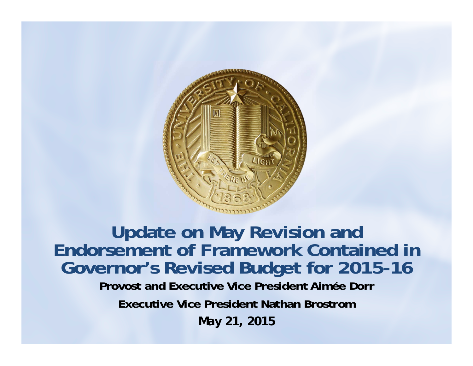

**Update on May Revision and Endorsement of Framework Contained in Governor's Revised Budget for 2015-16 Provost and Executive Vice President Aimée Dorr Executive Vice President Nathan Brostrom***May 21, 2015*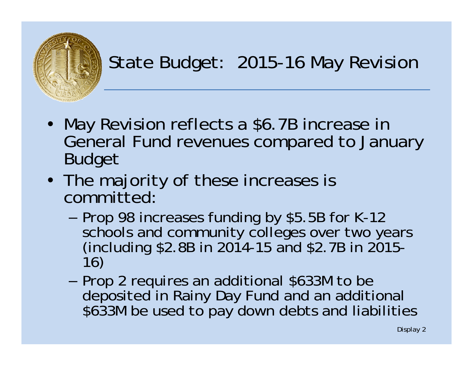

### State Budget: 2015-16 May Revision

- May Revision reflects a \$6.7B increase in General Fund revenues compared to January Budget
- The majority of these increases is committed:
	- –- Prop 98 increases funding by \$5.5B for K-12 schools and community colleges over two years<br>(including \$2.8B in 2014-15 and \$2.7B in 2015-<br>16)
	- –– Prop 2 requires an additional \$633M to be deposited in Rainy Day Fund and an additional<br>\$633M be used to pay down debts and liabilities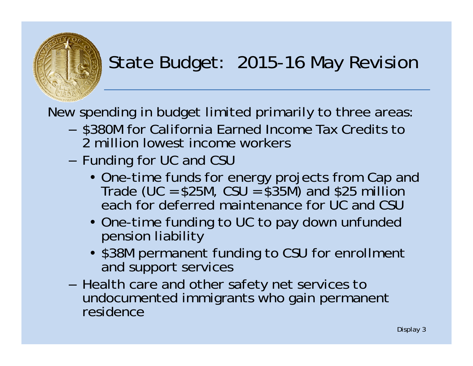

### State Budget: 2015-16 May Revision

New spending in budget limited primarily to three areas:

- \$380M for California Earned Income Tax Credits to 2 million lowest income workers
- $-$  Funding for UC and CSU
	- One-time funds for energy projects from Cap and Trade (UC = \$25M, CSU = \$35M) and \$25 million each for deferred maintenance for UC and CSU
	- One-time funding to UC to pay down unfunded pension liability
	- \$38M permanent funding to CSU for enrollment and support services
- Health care and other safety net services to undocumented immigrants who gain permanent residence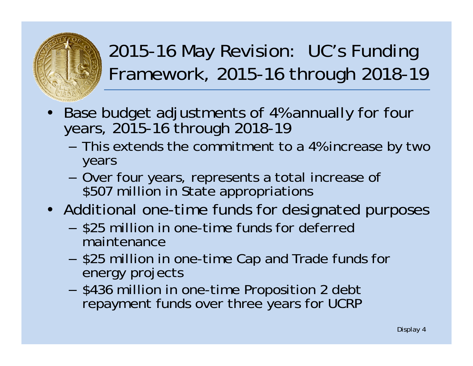

- • Base budget adjustments of 4% annually for four years, 2015-16 through 2018-19
	- This extends the commitment to a 4% increase by two years
	- Over four years, represents a total increase of \$507 million in State appropriations
- Additional one-time funds for designated purposes
	- \$25 million in one-time funds for deferred maintenance
	- \$25 million in one-time Cap and Trade funds for energy projects
	- \$436 million in one-time Proposition 2 debt repayment funds over three years for UCRP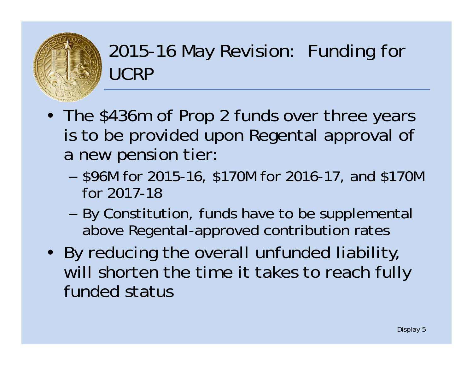

### 2015-16 May Revision: Funding for UCRP

- The \$436m of Prop 2 funds over three years is to be provided upon Regental approval of a new pension tier:
	- – \$96M for 2015-16, \$170M for 2016-17, and \$170M for 2017-18
	- – By Constitution, funds have to be supplemental above Regental-approved contribution rates
- By reducing the overall unfunded liability, will shorten the time it takes to reach fully funded status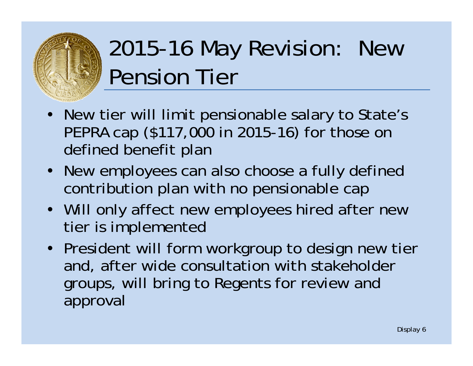

## 2015-16 May Revision: New Pension Tier

- New tier will limit pensionable salary to State's PEPRA cap (\$117,000 in 2015-16) for those on defined benefit plan
- New employees can also choose a fully defined contribution plan with no pensionable cap
- Will only affect new employees hired after new tier is implemented
- President will form workgroup to design new tier and, after wide consultation with stakeholder groups, will bring to Regents for review and approval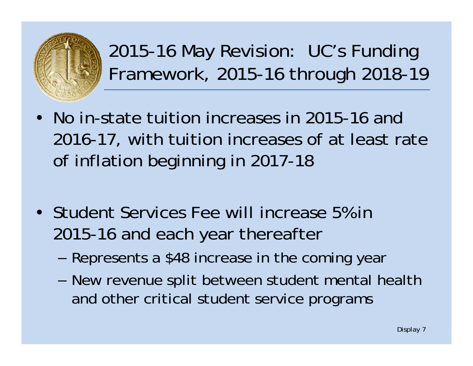

- No in-state tuition increases in 2015-16 and 2016-17, with tuition increases of at least rate of inflation beginning in 2017-18
- Student Services Fee will increase 5% in 2015-16 and each year thereafter
	- –Represents a \$48 increase in the coming year
	- – New revenue split between student mental health and other critical student service programs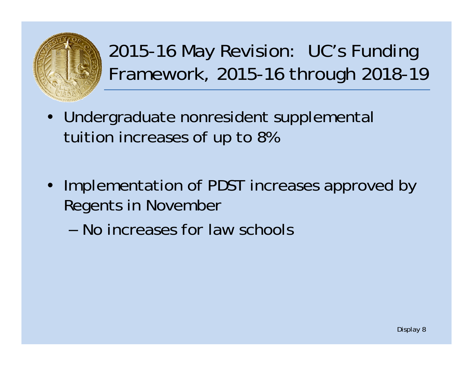

- Undergraduate nonresident supplemental tuition increases of up to 8%
- Implementation of PDST increases approved by Regents in November
	- No increases for law schools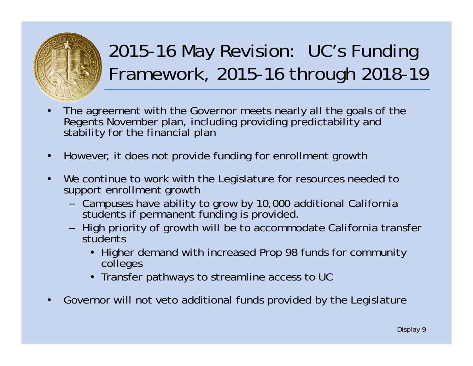

- • The agreement with the Governor meets nearly all the goals of the Regents November plan, including providing predictability and stability for the financial plan
- •However, it does not provide funding for enrollment growth
- $\bullet$ We continue to work with the Legislature for resources needed to support enrollment growth
	- Campuses have ability to grow by 10,000 additional California students if permanent funding is provided.
	- High priority of growth will be to accommodate California transfer students
		- Higher demand with increased Prop 98 funds for community colleges
		- Transfer pathways to streamline access to UC
- •Governor will not veto additional funds provided by the Legislature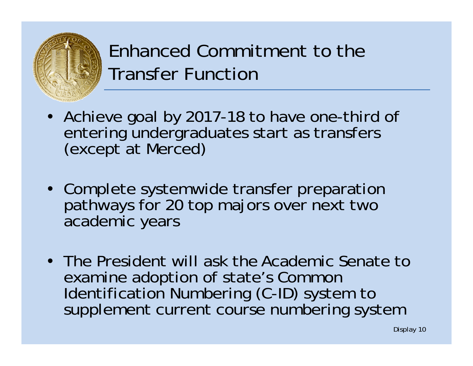

#### Enhanced Commitment to the Transfer Function

- Achieve goal by 2017-18 to have one-third of entering undergraduates start as transfers (except at Merced)
- Complete systemwide transfer preparation pathways for 20 top majors over next two academic years
- The President will ask the Academic Senate to examine adoption of state's Common<br>Identification Numbering (C-ID) system to supplement current course numbering system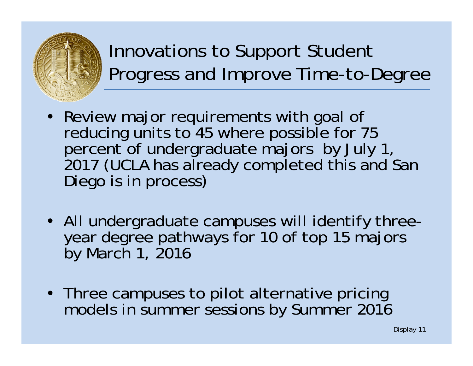

Innovations to Support Student Progress and Improve Time-to-Degree

- Review major requirements with goal of reducing units to 45 where possible for 75<br>percent of undergraduate majors by July 1, 2017 (UCLA has already completed this and San Diego is in process)
- All undergraduate campuses will identify threeyear degree pathways for 10 of top 15 majors by March 1, 2016
- Three campuses to pilot alternative pricing models in summer sessions by Summer 2016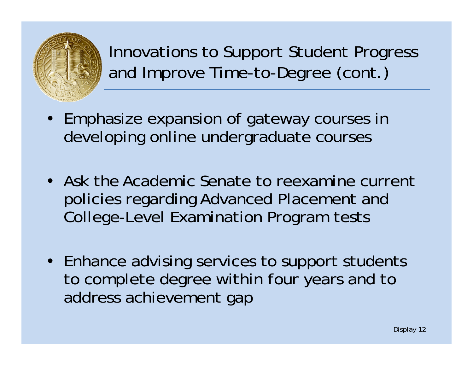

Innovations to Support Student Progress and Improve Time-to-Degree (cont.)

- Emphasize expansion of gateway courses in developing online undergraduate courses
- Ask the Academic Senate to reexamine current policies regarding Advanced Placement and College-Level Examination Program tests
- Enhance advising services to support students to complete degree within four years and to address achievement gap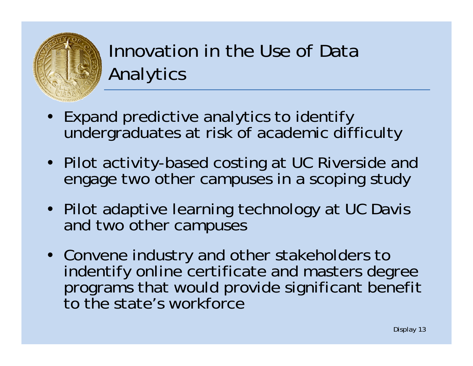

Innovation in the Use of Data Analytics

- Expand predictive analytics to identify undergraduates at risk of academic difficulty
- Pilot activity-based costing at UC Riverside and engage two other campuses in a scoping study
- Pilot adaptive learning technology at UC Davis and two other campuses
- Convene industry and other stakeholders to indentify online certificate and masters degree programs that would provide significant benefit to the state's workforce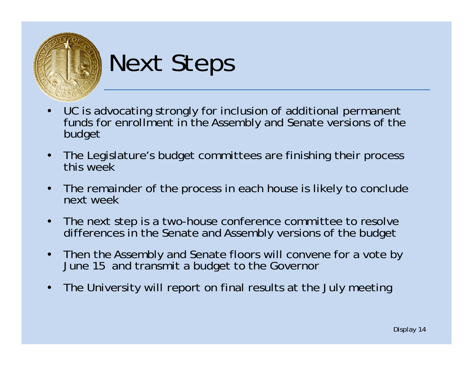

# Next Steps

- • UC is advocating strongly for inclusion of additional permanent funds for enrollment in the Assembly and Senate versions of the budget
- $\bullet$  The Legislature's budget committees are finishing their process this week
- $\bullet$  The remainder of the process in each house is likely to conclude next week
- $\bullet$  The next step is a two-house conference committee to resolve differences in the Senate and Assembly versions of the budget
- $\bullet$  Then the Assembly and Senate floors will convene for a vote by June 15 and transmit a budget to the Governor
- •The University will report on final results at the July meeting